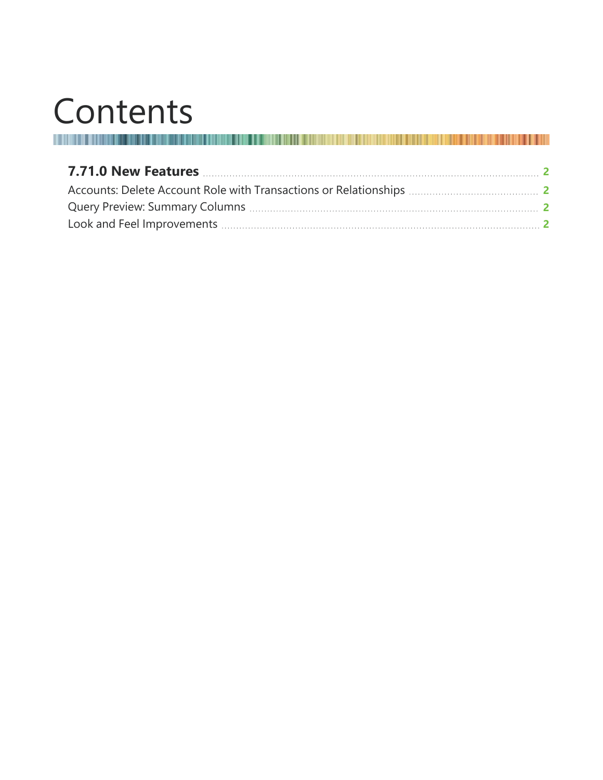# Contents